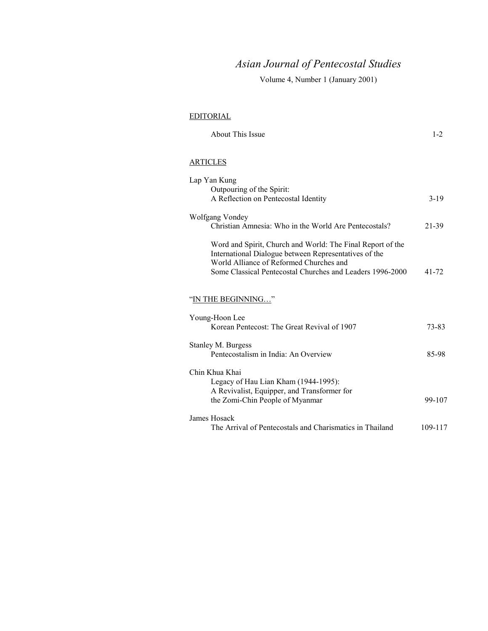# *Asian Journal of Pentecostal Studies*

Volume 4, Number 1 (January 2001)

## EDITORIAL

| About This Issue |  |
|------------------|--|
|------------------|--|

## **ARTICLES**

| Lap Yan Kung                                                                                                                                                                                                                |         |
|-----------------------------------------------------------------------------------------------------------------------------------------------------------------------------------------------------------------------------|---------|
| Outpouring of the Spirit:                                                                                                                                                                                                   |         |
| A Reflection on Pentecostal Identity                                                                                                                                                                                        | $3-19$  |
| Wolfgang Vondey<br>Christian Amnesia: Who in the World Are Pentecostals?                                                                                                                                                    | 21-39   |
| Word and Spirit, Church and World: The Final Report of the<br>International Dialogue between Representatives of the<br>World Alliance of Reformed Churches and<br>Some Classical Pentecostal Churches and Leaders 1996-2000 | 41-72   |
| "IN THE BEGINNING"                                                                                                                                                                                                          |         |
| Young-Hoon Lee<br>Korean Pentecost: The Great Revival of 1907                                                                                                                                                               | 73-83   |
| Stanley M. Burgess<br>Pentecostalism in India: An Overview                                                                                                                                                                  | 85-98   |
| Chin Khua Khai<br>Legacy of Hau Lian Kham (1944-1995):                                                                                                                                                                      |         |
| A Revivalist, Equipper, and Transformer for<br>the Zomi-Chin People of Myanmar                                                                                                                                              | 99-107  |
| James Hosack<br>The Arrival of Pentecostals and Charismatics in Thailand                                                                                                                                                    | 109-117 |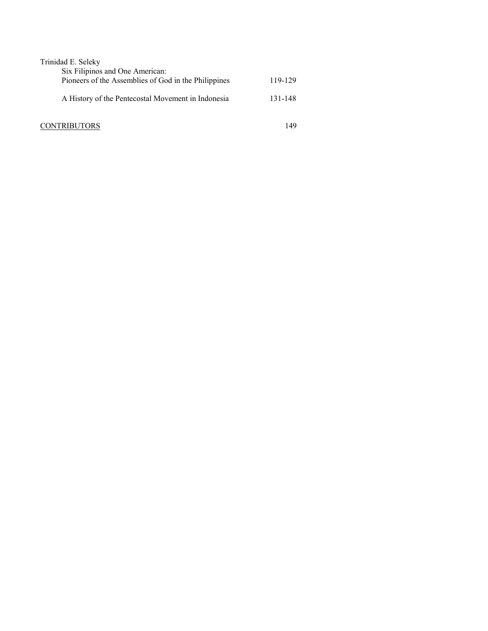| Trinidad E. Seleky                                   |         |
|------------------------------------------------------|---------|
| Six Filipinos and One American:                      |         |
| Pioneers of the Assemblies of God in the Philippines | 119-129 |
| A History of the Pentecostal Movement in Indonesia   | 131-148 |
| <b>CONTRIBUTORS</b>                                  | 149     |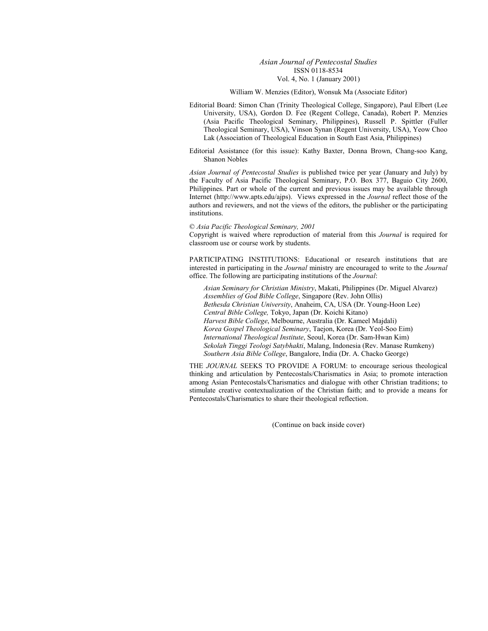#### *Asian Journal of Pentecostal Studies*  ISSN 0118-8534 Vol. 4, No. 1 (January 2001)

#### William W. Menzies (Editor), Wonsuk Ma (Associate Editor)

Editorial Board: Simon Chan (Trinity Theological College, Singapore), Paul Elbert (Lee University, USA), Gordon D. Fee (Regent College, Canada), Robert P. Menzies (Asia Pacific Theological Seminary, Philippines), Russell P. Spittler (Fuller Theological Seminary, USA), Vinson Synan (Regent University, USA), Yeow Choo Lak (Association of Theological Education in South East Asia, Philippines)

Editorial Assistance (for this issue): Kathy Baxter, Donna Brown, Chang-soo Kang, Shanon Nobles

*Asian Journal of Pentecostal Studies* is published twice per year (January and July) by the Faculty of Asia Pacific Theological Seminary, P.O. Box 377, Baguio City 2600, Philippines. Part or whole of the current and previous issues may be available through Internet (http://www.apts.edu/ajps). Views expressed in the *Journal* reflect those of the authors and reviewers, and not the views of the editors, the publisher or the participating institutions.

#### © *Asia Pacific Theological Seminary, 2001*

Copyright is waived where reproduction of material from this *Journal* is required for classroom use or course work by students.

PARTICIPATING INSTITUTIONS: Educational or research institutions that are interested in participating in the *Journal* ministry are encouraged to write to the *Journal* office. The following are participating institutions of the *Journal*:

*Asian Seminary for Christian Ministry*, Makati, Philippines (Dr. Miguel Alvarez) *Assemblies of God Bible College*, Singapore (Rev. John Ollis) *Bethesda Christian University*, Anaheim, CA, USA (Dr. Young-Hoon Lee) *Central Bible College,* Tokyo, Japan (Dr. Koichi Kitano) *Harvest Bible College*, Melbourne, Australia (Dr. Kameel Majdali) *Korea Gospel Theological Seminary*, Taejon, Korea (Dr. Yeol-Soo Eim) *International Theological Institute*, Seoul, Korea (Dr. Sam-Hwan Kim) *Sekolah Tinggi Teologi Satybhakti*, Malang, Indonesia (Rev. Manase Rumkeny) *Southern Asia Bible College*, Bangalore, India (Dr. A. Chacko George)

THE *JOURNAL* SEEKS TO PROVIDE A FORUM: to encourage serious theological thinking and articulation by Pentecostals/Charismatics in Asia; to promote interaction among Asian Pentecostals/Charismatics and dialogue with other Christian traditions; to stimulate creative contextualization of the Christian faith; and to provide a means for Pentecostals/Charismatics to share their theological reflection.

(Continue on back inside cover)